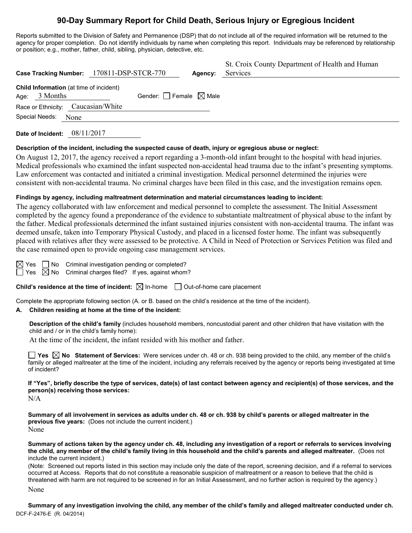# **90-Day Summary Report for Child Death, Serious Injury or Egregious Incident**

Reports submitted to the Division of Safety and Permanence (DSP) that do not include all of the required information will be returned to the agency for proper completion. Do not identify individuals by name when completing this report. Individuals may be referenced by relationship or position; e.g., mother, father, child, sibling, physician, detective, etc.

| Case Tracking Number: 170811-DSP-STCR-770                         | Agency:                         | St. Croix County Department of Health and Human<br>Services |
|-------------------------------------------------------------------|---------------------------------|-------------------------------------------------------------|
| <b>Child Information</b> (at time of incident)<br>Age: $3$ Months | Gender: Female $\boxtimes$ Male |                                                             |
| Race or Ethnicity: Caucasian/White                                |                                 |                                                             |
| Special Needs: None                                               |                                 |                                                             |

**Date of Incident:** 08/11/2017

## **Description of the incident, including the suspected cause of death, injury or egregious abuse or neglect:**

On August 12, 2017, the agency received a report regarding a 3-month-old infant brought to the hospital with head injuries. Medical professionals who examined the infant suspected non-accidental head trauma due to the infant's presenting symptoms. Law enforcement was contacted and initiated a criminal investigation. Medical personnel determined the injuries were consistent with non-accidental trauma. No criminal charges have been filed in this case, and the investigation remains open.

## **Findings by agency, including maltreatment determination and material circumstances leading to incident:**

The agency collaborated with law enforcement and medical personnel to complete the assessment. The Initial Assessment completed by the agency found a preponderance of the evidence to substantiate maltreatment of physical abuse to the infant by the father. Medical professionals determined the infant sustained injuries consistent with non-accidental trauma. The infant was deemed unsafe, taken into Temporary Physical Custody, and placed in a licensed foster home. The infant was subsequently placed with relatives after they were assessed to be protective. A Child in Need of Protection or Services Petition was filed and the case remained open to provide ongoing case management services.

|   | ٠ |
|---|---|
| ٠ |   |

 $\Box$  No Criminal investigation pending or completed? Yes  $\boxtimes$  No Criminal charges filed? If yes, against whom?

**Child's residence at the time of incident:**  $\boxtimes$  In-home  $\Box$  Out-of-home care placement

Complete the appropriate following section (A. or B. based on the child's residence at the time of the incident).

## **A. Children residing at home at the time of the incident:**

**Description of the child's family** (includes household members, noncustodial parent and other children that have visitation with the child and / or in the child's family home):

At the time of the incident, the infant resided with his mother and father.

**Yes No Statement of Services:** Were services under ch. 48 or ch. 938 being provided to the child, any member of the child's family or alleged maltreater at the time of the incident, including any referrals received by the agency or reports being investigated at time of incident?

**If "Yes", briefly describe the type of services, date(s) of last contact between agency and recipient(s) of those services, and the person(s) receiving those services:**

N/A

**Summary of all involvement in services as adults under ch. 48 or ch. 938 by child's parents or alleged maltreater in the previous five years:** (Does not include the current incident.) None

**Summary of actions taken by the agency under ch. 48, including any investigation of a report or referrals to services involving the child, any member of the child's family living in this household and the child's parents and alleged maltreater.** (Does not include the current incident.)

(Note: Screened out reports listed in this section may include only the date of the report, screening decision, and if a referral to services occurred at Access. Reports that do not constitute a reasonable suspicion of maltreatment or a reason to believe that the child is threatened with harm are not required to be screened in for an Initial Assessment, and no further action is required by the agency.)

None

DCF-F-2476-E (R. 04/2014) **Summary of any investigation involving the child, any member of the child's family and alleged maltreater conducted under ch.**